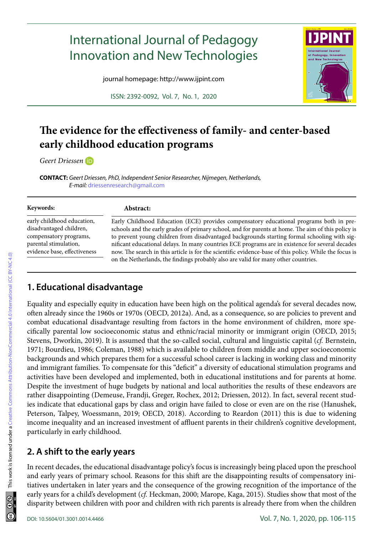# International Journal of Pedagogy Innovation and New Technologies

journal homepage: http://www.ijpint.com

ISSN: 2392-0092, Vol. 7, No. 1, 2020



## **The evidence for the effectiveness of family- and center-based early childhood education programs**

*Geert Driessen*

**CONTACT:** *Geert Driessen, PhD, Independent Senior Researcher, Nijmegen, Netherlands, E-mail:* [driessenresearch@gmail.com](mailto:driessenresearch@gmail.com)

| Keywords:                    | Abstract:                                                                                              |
|------------------------------|--------------------------------------------------------------------------------------------------------|
| early childhood education,   | Early Childhood Education (ECE) provides compensatory educational programs both in pre-                |
| disadvantaged children,      | schools and the early grades of primary school, and for parents at home. The aim of this policy is     |
| compensatory programs,       | to prevent young children from disadvantaged backgrounds starting formal schooling with sig-           |
| parental stimulation,        | nificant educational delays. In many countries ECE programs are in existence for several decades       |
| evidence base, effectiveness | now. The search in this article is for the scientific evidence-base of this policy. While the focus is |
|                              | on the Netherlands, the findings probably also are valid for many other countries.                     |

## **1. Educational disadvantage**

Equality and especially equity in education have been high on the political agenda's for several decades now, often already since the 1960s or 1970s (OECD, 2012a). And, as a consequence, so are policies to prevent and combat educational disadvantage resulting from factors in the home environment of children, more specifically parental low socioeconomic status and ethnic/racial minority or immigrant origin (OECD, 2015; Stevens, Dworkin, 2019). It is assumed that the so-called social, cultural and linguistic capital (*cf.* Bernstein, 1971; Bourdieu, 1986; Coleman, 1988) which is available to children from middle and upper socioeconomic backgrounds and which prepares them for a successful school career is lacking in working class and minority and immigrant families. To compensate for this "deficit" a diversity of educational stimulation programs and activities have been developed and implemented, both in educational institutions and for parents at home. Despite the investment of huge budgets by national and local authorities the results of these endeavors are rather disappointing (Demeuse, Frandji, Greger, Rochex, 2012; Driessen, 2012). In fact, several recent studies indicate that educational gaps by class and origin have failed to close or even are on the rise (Hanushek, Peterson, Talpey, Woessmann, 2019; OECD, 2018). According to Reardon (2011) this is due to widening income inequality and an increased investment of affluent parents in their children's cognitive development, particularly in early childhood.

## **2. A shift to the early years**

In recent decades, the educational disadvantage policy's focus is increasingly being placed upon the preschool and early years of primary school. Reasons for this shift are the disappointing results of compensatory initiatives undertaken in later years and the consequence of the growing recognition of the importance of the early years for a child's development (*cf.* Heckman, 2000; Marope, Kaga, 2015). Studies show that most of the disparity between children with poor and children with rich parents is already there from when the children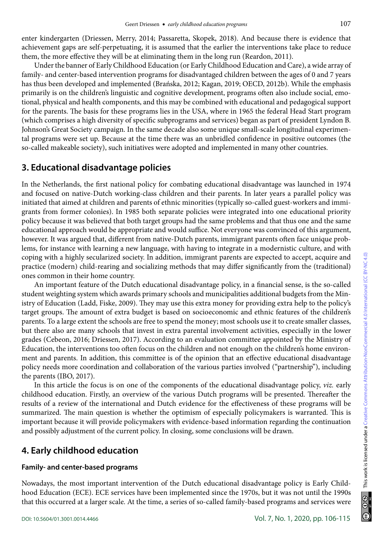enter kindergarten (Driessen, Merry, 2014; Passaretta, Skopek, 2018). And because there is evidence that achievement gaps are self-perpetuating, it is assumed that the earlier the interventions take place to reduce them, the more effective they will be at eliminating them in the long run (Reardon, 2011).

Under the banner of Early Childhood Education (or Early Childhood Education and Care), a wide array of family- and center-based intervention programs for disadvantaged children between the ages of 0 and 7 years has thus been developed and implemented (Brańska, 2012; Kagan, 2019; OECD, 2012b). While the emphasis primarily is on the children's linguistic and cognitive development, programs often also include social, emotional, physical and health components, and this may be combined with educational and pedagogical support for the parents. The basis for these programs lies in the USA, where in 1965 the federal Head Start program (which comprises a high diversity of specific subprograms and services) began as part of president Lyndon B. Johnson's Great Society campaign. In the same decade also some unique small-scale longitudinal experimental programs were set up. Because at the time there was an unbridled confidence in positive outcomes (the so-called makeable society), such initiatives were adopted and implemented in many other countries.

## **3. Educational disadvantage policies**

In the Netherlands, the first national policy for combating educational disadvantage was launched in 1974 and focused on native-Dutch working-class children and their parents. In later years a parallel policy was initiated that aimed at children and parents of ethnic minorities (typically so-called guest-workers and immigrants from former colonies). In 1985 both separate policies were integrated into one educational priority policy because it was believed that both target groups had the same problems and that thus one and the same educational approach would be appropriate and would suffice. Not everyone was convinced of this argument, however. It was argued that, different from native-Dutch parents, immigrant parents often face unique problems, for instance with learning a new language, with having to integrate in a modernistic culture, and with coping with a highly secularized society. In addition, immigrant parents are expected to accept, acquire and practice (modern) child-rearing and socializing methods that may differ significantly from the (traditional) ones common in their home country.

An important feature of the Dutch educational disadvantage policy, in a financial sense, is the so-called student weighting system which awards primary schools and municipalities additional budgets from the Ministry of Education (Ladd, Fiske, 2009). They may use this extra money for providing extra help to the policy's target groups. The amount of extra budget is based on socioeconomic and ethnic features of the children's parents. To a large extent the schools are free to spend the money; most schools use it to create smaller classes, but there also are many schools that invest in extra parental involvement activities, especially in the lower grades (Cebeon, 2016; Driessen, 2017). According to an evaluation committee appointed by the Ministry of Education, the interventions too often focus on the children and not enough on the children's home environment and parents. In addition, this committee is of the opinion that an effective educational disadvantage policy needs more coordination and collaboration of the various parties involved ("partnership"), including the parents (IBO, 2017).

In this article the focus is on one of the components of the educational disadvantage policy, *viz.* early childhood education. Firstly, an overview of the various Dutch programs will be presented. Thereafter the results of a review of the international and Dutch evidence for the effectiveness of these programs will be summarized. The main question is whether the optimism of especially policymakers is warranted. This is important because it will provide policymakers with evidence-based information regarding the continuation and possibly adjustment of the current policy. In closing, some conclusions will be drawn.

## **4. Early childhood education**

## **Family- and center-based programs**

Nowadays, the most important intervention of the Dutch educational disadvantage policy is Early Childhood Education (ECE). ECE services have been implemented since the 1970s, but it was not until the 1990s that this occurred at a larger scale. At the time, a series of so-called family-based programs and services were

 $\circledcirc$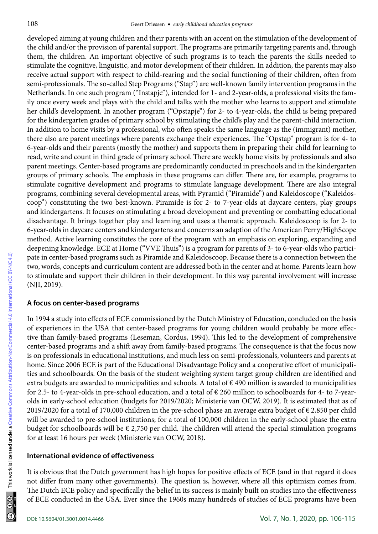developed aiming at young children and their parents with an accent on the stimulation of the development of the child and/or the provision of parental support. The programs are primarily targeting parents and, through them, the children. An important objective of such programs is to teach the parents the skills needed to stimulate the cognitive, linguistic, and motor development of their children. In addition, the parents may also receive actual support with respect to child-rearing and the social functioning of their children, often from semi-professionals. The so-called Step Programs ("Stap") are well-known family intervention programs in the Netherlands. In one such program ("Instapje"), intended for 1- and 2-year-olds, a professional visits the family once every week and plays with the child and talks with the mother who learns to support and stimulate her child's development. In another program ("Opstapje") for 2- to 4-year-olds, the child is being prepared for the kindergarten grades of primary school by stimulating the child's play and the parent-child interaction. In addition to home visits by a professional, who often speaks the same language as the (immigrant) mother, there also are parent meetings where parents exchange their experiences. The "Opstap" program is for 4- to 6-year-olds and their parents (mostly the mother) and supports them in preparing their child for learning to read, write and count in third grade of primary school. There are weekly home visits by professionals and also parent meetings. Center-based programs are predominantly conducted in preschools and in the kindergarten groups of primary schools. The emphasis in these programs can differ. There are, for example, programs to stimulate cognitive development and programs to stimulate language development. There are also integral programs, combining several developmental areas, with Pyramid ("Piramide") and Kaleidoscope ("Kaleidoscoop") constituting the two best-known. Piramide is for 2- to 7-year-olds at daycare centers, play groups and kindergartens. It focuses on stimulating a broad development and preventing or combatting educational disadvantage. It brings together play and learning and uses a thematic approach. Kaleidoscoop is for 2- to 6-year-olds in daycare centers and kindergartens and concerns an adaption of the American Perry/HighScope method. Active learning constitutes the core of the program with an emphasis on exploring, expanding and deepening knowledge. ECE at Home ("VVE Thuis") is a program for parents of 3- to 6-year-olds who participate in center-based programs such as Piramide and Kaleidoscoop. Because there is a connection between the two, words, concepts and curriculum content are addressed both in the center and at home. Parents learn how to stimulate and support their children in their development. In this way parental involvement will increase (NJI, 2019).

#### **A focus on center-based programs**

In 1994 a study into effects of ECE commissioned by the Dutch Ministry of Education, concluded on the basis of experiences in the USA that center-based programs for young children would probably be more effective than family-based programs (Leseman, Cordus, 1994). This led to the development of comprehensive center-based programs and a shift away from family-based programs. The consequence is that the focus now is on professionals in educational institutions, and much less on semi-professionals, volunteers and parents at home. Since 2006 ECE is part of the Educational Disadvantage Policy and a cooperative effort of municipalities and schoolboards. On the basis of the student weighting system target group children are identified and extra budgets are awarded to municipalities and schools. A total of € 490 million is awarded to municipalities for 2.5- to 4-year-olds in pre-school education, and a total of € 260 million to schoolboards for 4- to 7-yearolds in early-school education (budgets for 2019/2020; Ministerie van OCW, 2019). It is estimated that as of 2019/2020 for a total of 170,000 children in the pre-school phase an average extra budget of € 2,850 per child will be awarded to pre-school institutions; for a total of 100,000 children in the early-school phase the extra budget for schoolboards will be  $\epsilon$  2,750 per child. The children will attend the special stimulation programs for at least 16 hours per week (Ministerie van OCW, 2018).

#### **International evidence of effectiveness**

It is obvious that the Dutch government has high hopes for positive effects of ECE (and in that regard it does not differ from many other governments). The question is, however, where all this optimism comes from. The Dutch ECE policy and specifically the belief in its success is mainly built on studies into the effectiveness of ECE conducted in the USA. Ever since the 1960s many hundreds of studies of ECE programs have been

This work is licensed under a [Creative Commons Attribution-NonCommercial 4.0 International \(CC BY-NC 4.0\)](https://creativecommons.org/licenses/by-nc/4.0/legalcode)

This work is licensed under a Creative Commons Attribution-NonCommercial 4.0 International (CC BY-NC 4.0)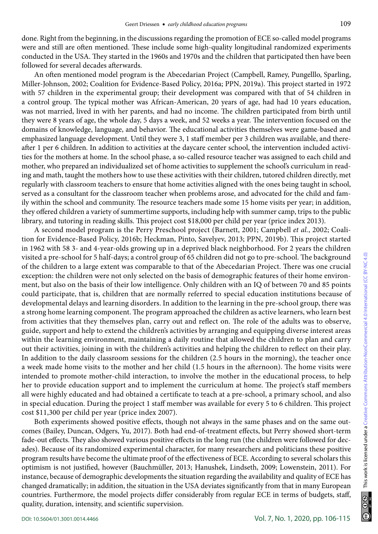done. Right from the beginning, in the discussions regarding the promotion of ECE so-called model programs were and still are often mentioned. These include some high-quality longitudinal randomized experiments conducted in the USA. They started in the 1960s and 1970s and the children that participated then have been followed for several decades afterwards.

An often mentioned model program is the Abecedarian Project (Campbell, Ramey, Pungelllo, Sparling, Miller-Johnson, 2002; Coalition for Evidence-Based Policy, 2016a; PPN, 2019a). This project started in 1972 with 57 children in the experimental group; their development was compared with that of 54 children in a control group. The typical mother was African-American, 20 years of age, had had 10 years education, was not married, lived in with her parents, and had no income. The children participated from birth until they were 8 years of age, the whole day, 5 days a week, and 52 weeks a year. The intervention focused on the domains of knowledge, language, and behavior. The educational activities themselves were game-based and emphasized language development. Until they were 3, 1 staff member per 3 children was available, and thereafter 1 per 6 children. In addition to activities at the daycare center school, the intervention included activities for the mothers at home. In the school phase, a so-called resource teacher was assigned to each child and mother, who prepared an individualized set of home activities to supplement the school's curriculum in reading and math, taught the mothers how to use these activities with their children, tutored children directly, met regularly with classroom teachers to ensure that home activities aligned with the ones being taught in school, served as a consultant for the classroom teacher when problems arose, and advocated for the child and family within the school and community. The resource teachers made some 15 home visits per year; in addition, they offered children a variety of summertime supports, including help with summer camp, trips to the public library, and tutoring in reading skills. This project cost \$18,000 per child per year (price index 2013).

A second model program is the Perry Preschool project (Barnett, 2001; Campbell *et al.*, 2002; Coalition for Evidence-Based Policy, 2016b; Heckman, Pinto, Savelyev, 2013; PPN, 2019b). This project started in 1962 with 58 3- and 4-year-olds growing up in a deprived black neighborhood. For 2 years the children visited a pre-school for 5 half-days; a control group of 65 children did not go to pre-school. The background of the children to a large extent was comparable to that of the Abecedarian Project. There was one crucial exception: the children were not only selected on the basis of demographic features of their home environment, but also on the basis of their low intelligence. Only children with an IQ of between 70 and 85 points could participate, that is, children that are normally referred to special education institutions because of developmental delays and learning disorders. In addition to the learning in the pre-school group, there was a strong home learning component. The program approached the children as active learners, who learn best from activities that they themselves plan, carry out and reflect on. The role of the adults was to observe, guide, support and help to extend the children's activities by arranging and equipping diverse interest areas within the learning environment, maintaining a daily routine that allowed the children to plan and carry out their activities, joining in with the children's activities and helping the children to reflect on their play. In addition to the daily classroom sessions for the children (2.5 hours in the morning), the teacher once a week made home visits to the mother and her child (1.5 hours in the afternoon). The home visits were intended to promote mother-child interaction, to involve the mother in the educational process, to help her to provide education support and to implement the curriculum at home. The project's staff members all were highly educated and had obtained a certificate to teach at a pre-school, a primary school, and also in special education. During the project 1 staff member was available for every 5 to 6 children. This project cost \$11,300 per child per year (price index 2007).

Both experiments showed positive effects, though not always in the same phases and on the same outcomes (Bailey, Duncan, Odgers, Yu, 2017). Both had end-of-treatment effects, but Perry showed short-term fade-out effects. They also showed various positive effects in the long run (the children were followed for decades). Because of its randomized experimental character, for many researchers and politicians these positive program results have become the ultimate proof of the effectiveness of ECE. According to several scholars this optimism is not justified, however (Bauchmüller, 2013; Hanushek, Lindseth, 2009; Lowenstein, 2011). For instance, because of demographic developments the situation regarding the availability and quality of ECE has changed dramatically; in addition, the situation in the USA deviates significantly from that in many European countries. Furthermore, the model projects differ considerably from regular ECE in terms of budgets, staff, quality, duration, intensity, and scientific supervision.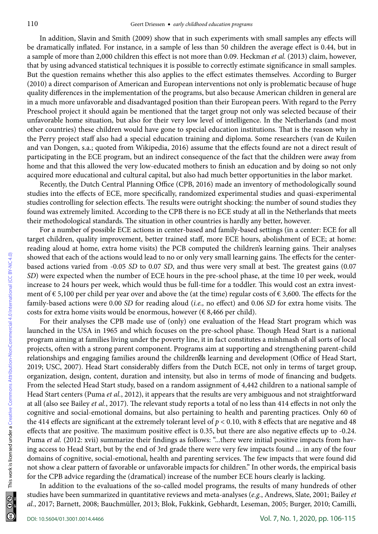In addition, Slavin and Smith (2009) show that in such experiments with small samples any effects will be dramatically inflated. For instance, in a sample of less than 50 children the average effect is 0.44, but in a sample of more than 2,000 children this effect is not more than 0.09. Heckman *et al.* (2013) claim, however, that by using advanced statistical techniques it is possible to correctly estimate significance in small samples. But the question remains whether this also applies to the effect estimates themselves. According to Burger (2010) a direct comparison of American and European interventions not only is problematic because of huge quality differences in the implementation of the programs, but also because American children in general are in a much more unfavorable and disadvantaged position than their European peers. With regard to the Perry Preschool project it should again be mentioned that the target group not only was selected because of their unfavorable home situation, but also for their very low level of intelligence. In the Netherlands (and most other countries) these children would have gone to special education institutions. That is the reason why in the Perry project staff also had a special education training and diploma. Some researchers (van de Kuilen and van Dongen, s.a.; quoted from Wikipedia, 2016) assume that the effects found are not a direct result of participating in the ECE program, but an indirect consequence of the fact that the children were away from home and that this allowed the very low-educated mothers to finish an education and by doing so not only acquired more educational and cultural capital, but also had much better opportunities in the labor market.

Recently, the Dutch Central Planning Office (CPB, 2016) made an inventory of methodologically sound studies into the effects of ECE, more specifically, randomized experimental studies and quasi-experimental studies controlling for selection effects. The results were outright shocking: the number of sound studies they found was extremely limited. According to the CPB there is no ECE study at all in the Netherlands that meets their methodological standards. The situation in other countries is hardly any better, however.

For a number of possible ECE actions in center-based and family-based settings (in a center: ECE for all target children, quality improvement, better trained staff, more ECE hours, abolishment of ECE; at home: reading aloud at home, extra home visits) the PCB computed the children's learning gains. Their analyses showed that each of the actions would lead to no or only very small learning gains. The effects for the centerbased actions varied from -0.05 *SD* to 0.07 *SD*, and thus were very small at best. The greatest gains (0.07 *SD*) were expected when the number of ECE hours in the pre-school phase, at the time 10 per week, would increase to 24 hours per week, which would thus be full-time for a toddler. This would cost an extra investment of € 5,100 per child per year over and above the (at the time) regular costs of € 3,600. The effects for the family-based actions were 0.00 *SD* for reading aloud (*i.e.,* no effect) and 0.06 *SD* for extra home visits. The costs for extra home visits would be enormous, however ( $\epsilon$  8,466 per child).

For their analyses the CPB made use of (only) one evaluation of the Head Start program which was launched in the USA in 1965 and which focuses on the pre-school phase. Though Head Start is a national program aiming at families living under the poverty line, it in fact constitutes a mishmash of all sorts of local projects, often with a strong parent component. Programs aim at supporting and strengthening parent-child relationships and engaging families around the children s learning and development (Office of Head Start, 2019; USC, 2007). Head Start considerably differs from the Dutch ECE, not only in terms of target group, organization, design, content, duration and intensity, but also in terms of mode of financing and budgets. From the selected Head Start study, based on a random assignment of 4,442 children to a national sample of Head Start centers (Puma *et al.*, 2012), it appears that the results are very ambiguous and not straightforward at all (also see Bailey *et al.*, 2017). The relevant study reports a total of no less than 414 effects in not only the cognitive and social-emotional domains, but also pertaining to health and parenting practices. Only 60 of the 414 effects are significant at the extremely tolerant level of  $p < 0.10$ , with 8 effects that are negative and 48 effects that are positive. The maximum positive effect is 0.35, but there are also negative effects up to -0.24. Puma *et al.* (2012: xvii) summarize their findings as follows: "...there were initial positive impacts from having access to Head Start, but by the end of 3rd grade there were very few impacts found ... in any of the four domains of cognitive, social-emotional, health and parenting services. The few impacts that were found did not show a clear pattern of favorable or unfavorable impacts for children." In other words, the empirical basis for the CPB advice regarding the (dramatical) increase of the number ECE hours clearly is lacking.

In addition to the evaluations of the so-called model programs, the results of many hundreds of other studies have been summarized in quantitative reviews and meta-analyses (*e.g.*, Andrews, Slate, 2001; Bailey *et al.*, 2017; Barnett, 2008; Bauchmüller, 2013; Blok, Fukkink, Gebhardt, Leseman, 2005; Burger, 2010; Camilli,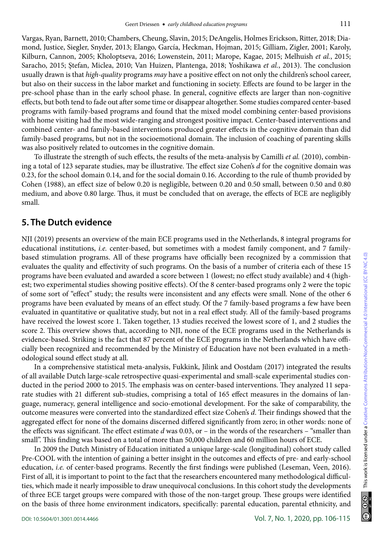Vargas, Ryan, Barnett, 2010; Chambers, Cheung, Slavin, 2015; DeAngelis, Holmes Erickson, Ritter, 2018; Diamond, Justice, Siegler, Snyder, 2013; Elango, García, Heckman, Hojman, 2015; Gilliam, Zigler, 2001; Karoly, Kilburn, Cannon, 2005; Kholoptseva, 2016; Lowenstein, 2011; Marope, Kagae, 2015; Melhuish *et al.*, 2015; Saracho, 2015; Ştefan, Miclea, 2010; Van Huizen, Plantenga, 2018; Yoshikawa *et al.*, 2013). The conclusion usually drawn is that *high-quality* programs *may* have a positive effect on not only the children's school career, but also on their success in the labor market and functioning in society. Effects are found to be larger in the pre-school phase than in the early school phase. In general, cognitive effects are larger than non-cognitive effects, but both tend to fade out after some time or disappear altogether. Some studies compared center-based programs with family-based programs and found that the mixed model combining center-based provisions with home visiting had the most wide-ranging and strongest positive impact. Center-based interventions and combined center- and family-based interventions produced greater effects in the cognitive domain than did family-based programs, but not in the socioemotional domain. The inclusion of coaching of parenting skills was also positively related to outcomes in the cognitive domain.

To illustrate the strength of such effects, the results of the meta-analysis by Camilli *et al.* (2010), combining a total of 123 separate studies, may be illustrative. The effect size Cohen's *d* for the cognitive domain was 0.23, for the school domain 0.14, and for the social domain 0.16. According to the rule of thumb provided by Cohen (1988), an effect size of below 0.20 is negligible, between 0.20 and 0.50 small, between 0.50 and 0.80 medium, and above 0.80 large. Thus, it must be concluded that on average, the effects of ECE are negligibly small.

## **5. The Dutch evidence**

NJI (2019) presents an overview of the main ECE programs used in the Netherlands, 8 integral programs for educational institutions, *i.e.* center-based, but sometimes with a modest family component, and 7 familybased stimulation programs. All of these programs have officially been recognized by a commission that evaluates the quality and effectivity of such programs. On the basis of a number of criteria each of these 15 programs have been evaluated and awarded a score between 1 (lowest; no effect study available) and 4 (highest; two experimental studies showing positive effects). Of the 8 center-based programs only 2 were the topic of some sort of "effect" study; the results were inconsistent and any effects were small. None of the other 6 programs have been evaluated by means of an effect study. Of the 7 family-based programs a few have been evaluated in quantitative or qualitative study, but not in a real effect study. All of the family-based programs have received the lowest score 1. Taken together, 13 studies received the lowest score of 1, and 2 studies the score 2. This overview shows that, according to NJI, none of the ECE programs used in the Netherlands is evidence-based. Striking is the fact that 87 percent of the ECE programs in the Netherlands which have officially been recognized and recommended by the Ministry of Education have not been evaluated in a methodological sound effect study at all.

In a comprehensive statistical meta-analysis, Fukkink, Jilink and Oostdam (2017) integrated the results of all available Dutch large-scale retrospective quasi-experimental and small-scale experimental studies conducted in the period 2000 to 2015. The emphasis was on center-based interventions. They analyzed 11 separate studies with 21 different sub-studies, comprising a total of 165 effect measures in the domains of language, numeracy, general intelligence and socio-emotional development. For the sake of comparability, the outcome measures were converted into the standardized effect size Cohen's *d*. Their findings showed that the aggregated effect for none of the domains discerned differed significantly from zero; in other words: none of the effects was significant. The effect estimate *d* was 0.03, or – in the words of the researchers – "smaller than small". This finding was based on a total of more than 50,000 children and 60 million hours of ECE.

In 2009 the Dutch Ministry of Education initiated a unique large-scale (longitudinal) cohort study called Pre-COOL with the intention of gaining a better insight in the outcomes and effects of pre- and early-school education, *i.e.* of center-based programs. Recently the first findings were published (Leseman, Veen, 2016). First of all, it is important to point to the fact that the researchers encountered many methodological difficulties, which made it nearly impossible to draw unequivocal conclusions. In this cohort study the developments of three ECE target groups were compared with those of the non-target group. These groups were identified on the basis of three home environment indicators, specifically: parental education, parental ethnicity, and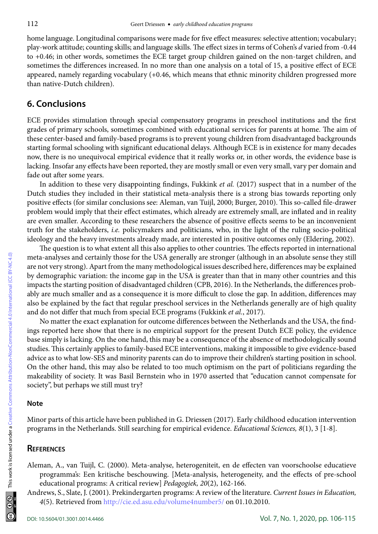home language. Longitudinal comparisons were made for five effect measures: selective attention; vocabulary; play-work attitude; counting skills; and language skills. The effect sizes in terms of Cohen's *d* varied from -0.44 to +0.46; in other words, sometimes the ECE target group children gained on the non-target children, and sometimes the differences increased. In no more than one analysis on a total of 15, a positive effect of ECE appeared, namely regarding vocabulary (+0.46, which means that ethnic minority children progressed more than native-Dutch children).

## **6. Conclusions**

ECE provides stimulation through special compensatory programs in preschool institutions and the first grades of primary schools, sometimes combined with educational services for parents at home. The aim of these center-based and family-based programs is to prevent young children from disadvantaged backgrounds starting formal schooling with significant educational delays. Although ECE is in existence for many decades now, there is no unequivocal empirical evidence that it really works or, in other words, the evidence base is lacking. Insofar any effects have been reported, they are mostly small or even very small, vary per domain and fade out after some years.

In addition to these very disappointing findings, Fukkink *et al.* (2017) suspect that in a number of the Dutch studies they included in their statistical meta-analysis there is a strong bias towards reporting only positive effects (for similar conclusions see: Aleman, van Tuijl, 2000; Burger, 2010). This so-called file-drawer problem would imply that their effect estimates, which already are extremely small, are inflated and in reality are even smaller. According to these researchers the absence of positive effects seems to be an inconvenient truth for the stakeholders, *i.e.* policymakers and politicians, who, in the light of the ruling socio-political ideology and the heavy investments already made, are interested in positive outcomes only (Eldering, 2002).

The question is to what extent all this also applies to other countries. The effects reported in international meta-analyses and certainly those for the USA generally are stronger (although in an absolute sense they still are not very strong). Apart from the many methodological issues described here, differences may be explained by demographic variation: the income gap in the USA is greater than that in many other countries and this impacts the starting position of disadvantaged children (CPB, 2016). In the Netherlands, the differences probably are much smaller and as a consequence it is more difficult to close the gap. In addition, differences may also be explained by the fact that regular preschool services in the Netherlands generally are of high quality and do not differ that much from special ECE programs (Fukkink *et al.*, 2017).

No matter the exact explanation for outcome differences between the Netherlands and the USA, the findings reported here show that there is no empirical support for the present Dutch ECE policy, the evidence base simply is lacking. On the one hand, this may be a consequence of the absence of methodologically sound studies. This certainly applies to family-based ECE interventions, making it impossible to give evidence-based advice as to what low-SES and minority parents can do to improve their children's starting position in school. On the other hand, this may also be related to too much optimism on the part of politicians regarding the makeability of society. It was Basil Bernstein who in 1970 asserted that "education cannot compensate for society", but perhaps we still must try?

#### **Note**

Minor parts of this article have been published in G. Driessen (2017). Early childhood education intervention programs in the Netherlands. Still searching for empirical evidence. *Educational Sciences, 8*(1), 3 [1-8].

#### **References**

Aleman, A., van Tuijl, C. (2000). Meta-analyse, heterogeniteit, en de effecten van voorschoolse educatieve programma's: Een kritische beschouwing. [Meta-analysis, heterogeneity, and the effects of pre-school educational programs: A critical review] *Pedagogiek, 20*(2), 162-166.

Andrews, S., Slate, J. (2001). Prekindergarten programs: A review of the literature. *Current Issues in Education, 4*(5). Retrieved from<http://cie.ed.asu.edu/volume4number5/> on 01.10.2010.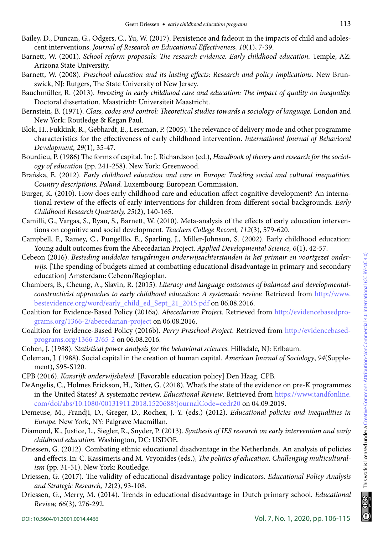- Bailey, D., Duncan, G., Odgers, C., Yu, W. (2017). Persistence and fadeout in the impacts of child and adolescent interventions. *Journal of Research on Educational Effectiveness, 10*(1), 7-39.
- Barnett, W. (2001). *School reform proposals: The research evidence. Early childhood education.* Temple, AZ: Arizona State University.
- Barnett, W. (2008). *Preschool education and its lasting effects: Research and policy implications.* New Brunswick, NJ: Rutgers, The State University of New Jersey.
- Bauchmüller, R. (2013). *Investing in early childhood care and education: The impact of quality on inequality.* Doctoral dissertation. Maastricht: Universiteit Maastricht.
- Bernstein, B. (1971). *Class, codes and control: Theoretical studies towards a sociology of language.* London and New York: Routledge & Kegan Paul.
- Blok, H., Fukkink, R., Gebhardt, E., Leseman, P. (2005). The relevance of delivery mode and other programme characteristics for the effectiveness of early childhood intervention. *International Journal of Behavioral Development, 29*(1), 35-47.
- Bourdieu, P. (1986) The forms of capital. In: J. Richardson (ed.), *Handbook of theory and research for the sociology of education* (pp. 241-258). New York: Greenwood.
- Brańska, E. (2012). *Early childhood education and care in Europe: Tackling social and cultural inequalities. Country descriptions. Poland.* Luxembourg: European Commission.
- Burger, K. (2010). How does early childhood care and education affect cognitive development? An international review of the effects of early interventions for children from different social backgrounds. *Early Childhood Research Quarterly, 25*(2), 140-165.
- Camilli, G., Vargas, S., Ryan, S., Barnett, W. (2010). Meta-analysis of the effects of early education interventions on cognitive and social development*. Teachers College Record, 112*(3), 579-620.
- Campbell, F., Ramey, C., Pungelllo, E., Sparling, J., Miller-Johnson, S. (2002). Early childhood education: Young adult outcomes from the Abecedarian Project. *Applied Developmental Science, 6*(1), 42-57.
- Cebeon (2016). *Besteding middelen terugdringen onderwijsachterstanden in het primair en voortgezet onderwijs.* [The spending of budgets aimed at combatting educational disadvantage in primary and secondary education] Amsterdam: Cebeon/Regioplan.
- Chambers, B., Cheung, A., Slavin, R. (2015). *Literacy and language outcomes of balanced and developmentalconstructivist approaches to early childhood education: A systematic review.* Retrieved from [http://www.](http://www.bestevidence.org/word/early_child_ed_Sept_21_2015.pdf) [bestevidence.org/word/early\\_child\\_ed\\_Sept\\_21\\_2015.pdf](http://www.bestevidence.org/word/early_child_ed_Sept_21_2015.pdf) on 06.08.2016.
- Coalition for Evidence-Based Policy (2016a). *Abecedarian Project.* Retrieved from [http://evidencebasedpro](http://evidencebasedprograms.org/1366-2/abecedarian-project)[grams.org/1366-2/abecedarian-project](http://evidencebasedprograms.org/1366-2/abecedarian-project) on 06.08.2016.
- Coalition for Evidence-Based Policy (2016b). *Perry Preschool Project*. Retrieved from [http://evidencebased](http://evidencebasedprograms.org/1366-2/65-2)[programs.org/1366-2/65-2](http://evidencebasedprograms.org/1366-2/65-2) on 06.08.2016.
- Cohen, J. (1988). *Statistical power analysis for the behavioral sciences*. Hillsdale, NJ: Erlbaum.
- Coleman, J. (1988). Social capital in the creation of human capital. *American Journal of Sociology*, *94*(Supplement), S95-S120.
- CPB (2016). *Kansrijk onderwijsbeleid*. [Favorable education policy] Den Haag. CPB.
- DeAngelis, C., Holmes Erickson, H., Ritter, G. (2018). What's the state of the evidence on pre-K programmes in the United States? A systematic review. *Educational Review*. Retrieved from [https://www.tandfonline.](https://www.tandfonline.com/doi/abs/10.1080/00131911.2018.1520688?journalCode=cedr20) [com/doi/abs/10.1080/00131911.2018.1520688?journalCode=cedr20](https://www.tandfonline.com/doi/abs/10.1080/00131911.2018.1520688?journalCode=cedr20) on 04.09.2019.
- Demeuse, M., Frandji, D., Greger, D., Rochex, J.-Y. (eds.) (2012). *Educational policies and inequalities in Europe.* New York, NY: Palgrave Macmillan.
- Diamond, K., Justice, L., Siegler, R., Snyder, P. (2013). *Synthesis of IES research on early intervention and early childhood education.* Washington, DC: USDOE.
- Driessen, G. (2012). Combating ethnic educational disadvantage in the Netherlands. An analysis of policies and effects. In: C. Kassimeris and M. Vryonides (eds.), *The politics of education. Challenging multiculturalism* (pp. 31-51). New York: Routledge.
- Driessen, G. (2017). The validity of educational disadvantage policy indicators. *Educational Policy Analysis and Strategic Research, 12*(2), 93-108.
- Driessen, G., Merry, M. (2014). Trends in educational disadvantage in Dutch primary school. *Educational Review, 66*(3), 276-292.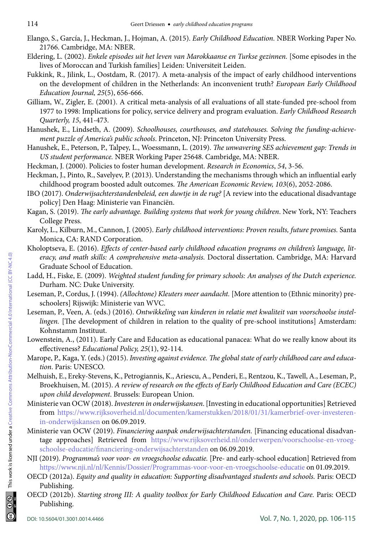- Elango, S., García, J., Heckman, J., Hojman, A. (2015). *Early Childhood Education.* NBER Working Paper No. 21766. Cambridge, MA: NBER.
- Eldering, L. (2002). *Enkele episodes uit het leven van Marokkaanse en Turkse gezinnen.* [Some episodes in the lives of Moroccan and Turkish families] Leiden: Universiteit Leiden.
- Fukkink, R., Jilink, L., Oostdam, R. (2017). A meta-analysis of the impact of early childhood interventions on the development of children in the Netherlands: An inconvenient truth? *European Early Childhood Education Journal, 25*(5), 656-666.
- Gilliam, W., Zigler, E. (2001). A critical meta-analysis of all evaluations of all state-funded pre-school from 1977 to 1998: Implications for policy, service delivery and program evaluation. *Early Childhood Research Quarterly, 15*, 441-473.
- Hanushek, E., Lindseth, A. (2009). *Schoolhouses, courthouses, and statehouses. Solving the funding-achievement puzzle of America's public schools*. Princeton, NJ: Princeton University Press.
- Hanushek, E., Peterson, P., Talpey, L., Woessmann, L. (2019). *The unwavering SES achievement gap: Trends in US student performance.* NBER Working Paper 25648. Cambridge, MA: NBER.
- Heckman, J. (2000). Policies to foster human development. *Research in Economics*, *54*, 3-56.
- Heckman, J., Pinto, R., Savelyev, P. (2013). Understanding the mechanisms through which an influential early childhood program boosted adult outcomes. *The American Economic Review, 103*(6), 2052-2086.
- IBO (2017). *Onderwijsachterstandenbeleid, een duwtje in de rug?* [A review into the educational disadvantage policy] Den Haag: Ministerie van Financiën.
- Kagan, S. (2019). *The early advantage. Building systems that work for young children*. New York, NY: Teachers College Press.
- Karoly, L., Kilburn, M., Cannon, J. (2005). *Early childhood interventions: Proven results, future promises.* Santa Monica, CA: RAND Corporation.
- Kholoptseva, E. (2016). *Effects of center-based early childhood education programs on children's language, literacy, and math skills: A comprehensive meta-analysis.* Doctoral dissertation. Cambridge, MA: Harvard Graduate School of Education.
- Ladd, H., Fiske, E. (2009). *Weighted student funding for primary schools: An analyses of the Dutch experience.* Durham. NC: Duke University.
- Leseman, P., Cordus, J. (1994). *(Allochtone) Kleuters meer aandacht.* [More attention to (Ethnic minority) preschoolers] Rijswijk: Ministerie van WVC.
- Leseman, P., Veen, A. (eds.) (2016). *Ontwikkeling van kinderen in relatie met kwaliteit van voorschoolse instellingen.* [The development of children in relation to the quality of pre-school institutions] Amsterdam: Kohnstamm Instituut.
- Lowenstein, A., (2011). Early Care and Education as educational panacea: What do we really know about its effectiveness? *Educational Policy, 25*(1), 92-114.
- Marope, P., Kaga, Y. (eds.) (2015). *Investing against evidence. The global state of early childhood care and education*. Paris: UNESCO.
- Melhuish, E., Ereky-Stevens, K., Petrogiannis, K., Ariescu, A., Penderi, E., Rentzou, K., Tawell, A., Leseman, P., Broekhuisen, M. (2015). *A review of research on the effects of Early Childhood Education and Care (ECEC) upon child development*. Brussels: European Union.
- Ministerie van OCW (2018). *Investeren in onderwijskansen*. [Investing in educational opportunities] Retrieved from [https://www.rijksoverheid.nl/documenten/kamerstukken/2018/01/31/kamerbrief-over-investeren](https://www.rijksoverheid.nl/documenten/kamerstukken/2018/01/31/kamerbrief-over-investeren-in-onderwijskansen)[in-onderwijskansen](https://www.rijksoverheid.nl/documenten/kamerstukken/2018/01/31/kamerbrief-over-investeren-in-onderwijskansen) on 06.09.2019.
- Ministerie van OCW (2019). *Financiering aanpak onderwijsachterstanden.* [Financing educational disadvantage approaches] Retrieved from [https://www.rijksoverheid.nl/onderwerpen/voorschoolse-en-vroeg](https://www.rijksoverheid.nl/onderwerpen/voorschoolse-en-vroegschoolse-educatie/financiering-onderwijsachterstanden)[schoolse-educatie/financiering-onderwijsachterstanden](https://www.rijksoverheid.nl/onderwerpen/voorschoolse-en-vroegschoolse-educatie/financiering-onderwijsachterstanden) on 06.09.2019.
- NJI (2019). *Programma's voor voor- en vroegschoolse educatie.* [Pre- and early-school education] Retrieved from <https://www.nji.nl/nl/Kennis/Dossier/Programmas-voor-voor-en-vroegschoolse-educatie> on 01.09.2019.
- OECD (2012a). *Equity and quality in education: Supporting disadvantaged students and schools.* Paris: OECD Publishing.
- OECD (2012b). *Starting strong III: A quality toolbox for Early Childhood Education and Care.* Paris: OECD Publishing.